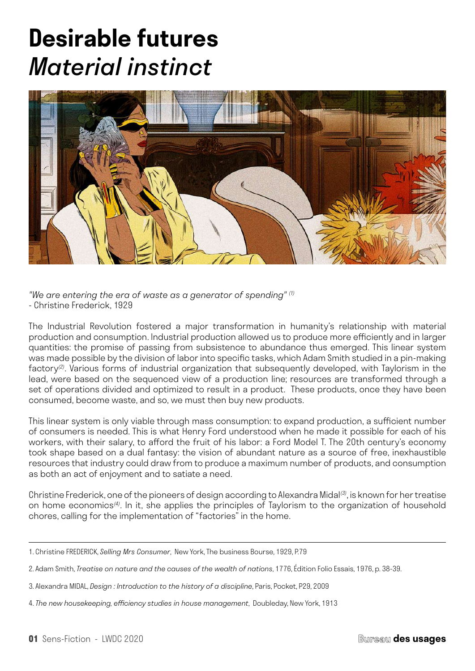# **Desirable futures** *Material instinct*



*"We are entering the era of waste as a generator of spending" (1)* - Christine Frederick, 1929

The Industrial Revolution fostered a major transformation in humanity's relationship with material production and consumption. Industrial production allowed us to produce more efficiently and in larger quantities: the promise of passing from subsistence to abundance thus emerged. This linear system was made possible by the division of labor into specific tasks, which Adam Smith studied in a pin-making factory*(2)*. Various forms of industrial organization that subsequently developed, with Taylorism in the lead, were based on the sequenced view of a production line; resources are transformed through a set of operations divided and optimized to result in a product. These products, once they have been consumed, become waste, and so, we must then buy new products.

This linear system is only viable through mass consumption: to expand production, a sufficient number of consumers is needed. This is what Henry Ford understood when he made it possible for each of his workers, with their salary, to afford the fruit of his labor: a Ford Model T. The 20th century's economy took shape based on a dual fantasy: the vision of abundant nature as a source of free, inexhaustible resources that industry could draw from to produce a maximum number of products, and consumption as both an act of enjoyment and to satiate a need.

Christine Frederick, one of the pioneers of design according to Alexandra Midal*(3)*, is known for her treatise on home economics*(4)*. In it, she applies the principles of Taylorism to the organization of household chores, calling for the implementation of "factories" in the home.

<sup>1.</sup> Christine FREDERICK, *Selling Mrs Consumer*, New York, The business Bourse, 1929, P.79

<sup>2.</sup> Adam Smith, *Treatise on nature and the causes of the wealth of nations*, 1776, Édition Folio Essais, 1976, p. 38-39.

<sup>3.</sup> Alexandra MIDAL, *Design : Introduction to the history of a discipline*, Paris, Pocket, P29, 2009

<sup>4.</sup> *The new housekeeping, efficiency studies in house management*, Doubleday, New York, 1913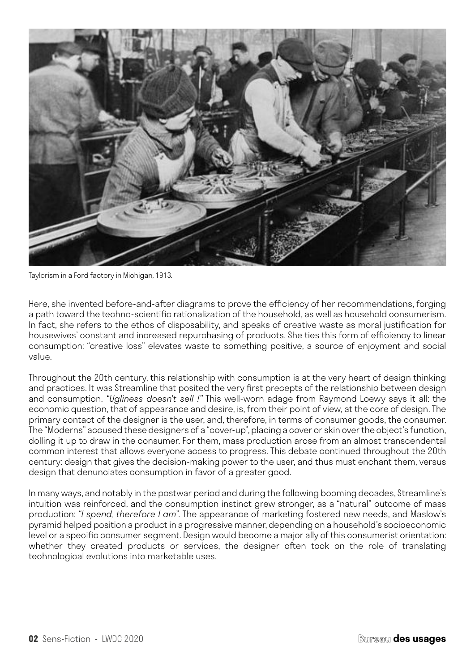

Taylorism in a Ford factory in Michigan, 1913.

Here, she invented before-and-after diagrams to prove the efficiency of her recommendations, forging a path toward the techno-scientific rationalization of the household, as well as household consumerism. In fact, she refers to the ethos of disposability, and speaks of creative waste as moral justification for housewives' constant and increased repurchasing of products. She ties this form of efficiency to linear consumption: "creative loss" elevates waste to something positive, a source of enjoyment and social value.

Throughout the 20th century, this relationship with consumption is at the very heart of design thinking and practices. It was Streamline that posited the very first precepts of the relationship between design and consumption. *"Ugliness doesn't sell !"* This well-worn adage from Raymond Loewy says it all: the economic question, that of appearance and desire, is, from their point of view, at the core of design. The primary contact of the designer is the user, and, therefore, in terms of consumer goods, the consumer. The "Moderns" accused these designers of a "cover-up", placing a cover or skin over the object's function, dolling it up to draw in the consumer. For them, mass production arose from an almost transcendental common interest that allows everyone access to progress. This debate continued throughout the 20th century: design that gives the decision-making power to the user, and thus must enchant them, versus design that denunciates consumption in favor of a greater good.

In many ways, and notably in the postwar period and during the following booming decades, Streamline's intuition was reinforced, and the consumption instinct grew stronger, as a "natural" outcome of mass production: *"I spend, therefore I am"*. The appearance of marketing fostered new needs, and Maslow's pyramid helped position a product in a progressive manner, depending on a household's socioeconomic level or a specific consumer segment. Design would become a major ally of this consumerist orientation: whether they created products or services, the designer often took on the role of translating technological evolutions into marketable uses.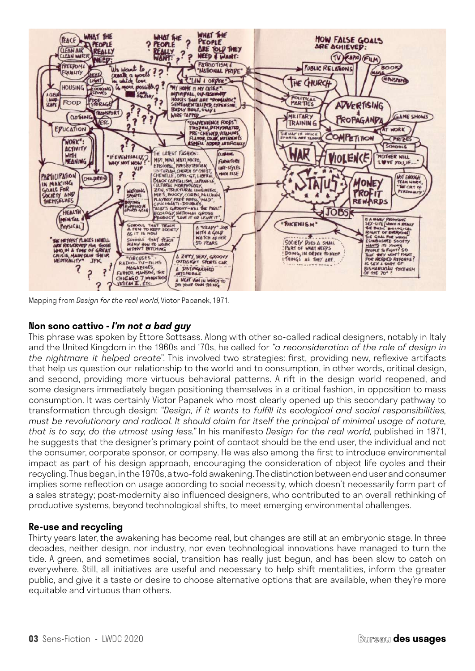

Mapping from *Design for the real world*, Victor Papanek, 1971.

## **Non sono cattivo -** *I'm not a bad guy*

This phrase was spoken by Ettore Sottsass. Along with other so-called radical designers, notably in Italy and the United Kingdom in the 1960s and '70s, he called for *"a reconsideration of the role of design in the nightmare it helped create"*. This involved two strategies: first, providing new, reflexive artifacts that help us question our relationship to the world and to consumption, in other words, critical design, and second, providing more virtuous behavioral patterns. A rift in the design world reopened, and some designers immediately began positioning themselves in a critical fashion, in opposition to mass consumption. It was certainly Victor Papanek who most clearly opened up this secondary pathway to transformation through design: *"Design, if it wants to fulfill its ecological and social responsibilities, must be revolutionary and radical. It should claim for itself the principal of minimal usage of nature, that is to say, do the utmost using less."* In his manifesto *Design for the real world*, published in 1971, he suggests that the designer's primary point of contact should be the end user, the individual and not the consumer, corporate sponsor, or company. He was also among the first to introduce environmental impact as part of his design approach, encouraging the consideration of object life cycles and their recycling. Thus began, in the 1970s, a two-fold awakening. The distinction between end user and consumer implies some reflection on usage according to social necessity, which doesn't necessarily form part of a sales strategy; post-modernity also influenced designers, who contributed to an overall rethinking of productive systems, beyond technological shifts, to meet emerging environmental challenges.

## **Re-use and recycling**

Thirty years later, the awakening has become real, but changes are still at an embryonic stage. In three decades, neither design, nor industry, nor even technological innovations have managed to turn the tide. A green, and sometimes social, transition has really just begun, and has been slow to catch on everywhere. Still, all initiatives are useful and necessary to help shift mentalities, inform the greater public, and give it a taste or desire to choose alternative options that are available, when they're more equitable and virtuous than others.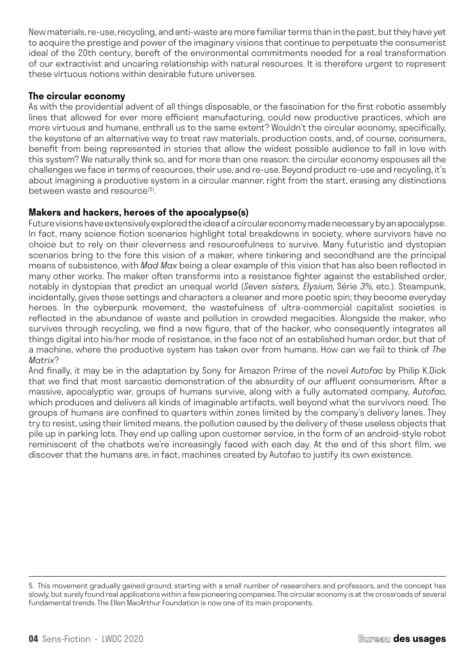New materials, re-use, recycling, and anti-waste are more familiar terms than in the past, but they have yet to acquire the prestige and power of the imaginary visions that continue to perpetuate the consumerist ideal of the 20th century, bereft of the environmental commitments needed for a real transformation of our extractivist and uncaring relationship with natural resources. It is therefore urgent to represent these virtuous notions within desirable future universes.

# **The circular economy**

As with the providential advent of all things disposable, or the fascination for the first robotic assembly lines that allowed for ever more efficient manufacturing, could new productive practices, which are more virtuous and humane, enthrall us to the same extent? Wouldn't the circular economy, specifically, the keystone of an alternative way to treat raw materials, production costs, and, of course, consumers, benefit from being represented in stories that allow the widest possible audience to fall in love with this system? We naturally think so, and for more than one reason: the circular economy espouses all the challenges we face in terms of resources, their use, and re-use. Beyond product re-use and recycling, it's about imagining a productive system in a circular manner, right from the start, erasing any distinctions between waste and resource<sup>(5)</sup>.

# **Makers and hackers, heroes of the apocalypse(s)**

Future visions have extensively explored the idea of a circular economy made necessary by an apocalypse. In fact, many science fiction scenarios highlight total breakdowns in society, where survivors have no choice but to rely on their cleverness and resourcefulness to survive. Many futuristic and dystopian scenarios bring to the fore this vision of a maker, where tinkering and secondhand are the principal means of subsistence, with *Mad Max* being a clear example of this vision that has also been reflected in many other works. The maker often transforms into a resistance fighter against the established order, notably in dystopias that predict an unequal world (*Seven sisters, Elysium*, Série *3%*, etc.). Steampunk, incidentally, gives these settings and characters a cleaner and more poetic spin; they become everyday heroes. In the cyberpunk movement, the wastefulness of ultra-commercial capitalist societies is reflected in the abundance of waste and pollution in crowded megacities. Alongside the maker, who survives through recycling, we find a new figure, that of the hacker, who consequently integrates all things digital into his/her mode of resistance, in the face not of an established human order, but that of a machine, where the productive system has taken over from humans. How can we fail to think of *The Matrix*?

And finally, it may be in the adaptation by Sony for Amazon Prime of the novel *Autofac* by Philip K.Dick that we find that most sarcastic demonstration of the absurdity of our affluent consumerism. After a massive, apocalyptic war, groups of humans survive, along with a fully automated company, *Autofac*, which produces and delivers all kinds of imaginable artifacts, well beyond what the survivors need. The groups of humans are confined to quarters within zones limited by the company's delivery lanes. They try to resist, using their limited means, the pollution caused by the delivery of these useless objects that pile up in parking lots. They end up calling upon customer service, in the form of an android-style robot reminiscent of the chatbots we're increasingly faced with each day. At the end of this short film, we discover that the humans are, in fact, machines created by Autofac to justify its own existence.

<sup>5.</sup> This movement gradually gained ground, starting with a small number of researchers and professors, and the concept has slowly, but surely found real applications within a few pioneering companies. The circular economy is at the crossroads of several fundamental trends. The Ellen MacArthur Foundation is now one of its main proponents.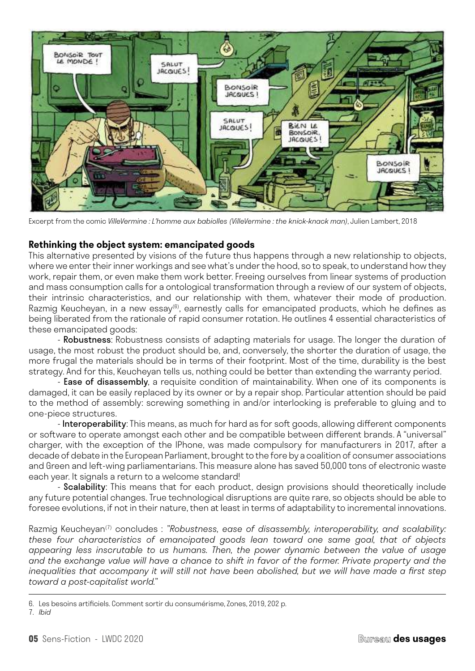

Excerpt from the comic *VilleVermine : L'homme aux babiolles (VilleVermine : the knick-knack man)*, Julien Lambert, 2018

### **Rethinking the object system: emancipated goods**

This alternative presented by visions of the future thus happens through a new relationship to objects, where we enter their inner workings and see what's under the hood, so to speak, to understand how they work, repair them, or even make them work better. Freeing ourselves from linear systems of production and mass consumption calls for a ontological transformation through a review of our system of objects, their intrinsic characteristics, and our relationship with them, whatever their mode of production. Razmig Keucheyan, in a new essay $^{(6)}$ , earnestly calls for emancipated products, which he defines as being liberated from the rationale of rapid consumer rotation. He outlines 4 essential characteristics of these emancipated goods:

- Robustness: Robustness consists of adapting materials for usage. The longer the duration of usage, the most robust the product should be, and, conversely, the shorter the duration of usage, the more frugal the materials should be in terms of their footprint. Most of the time, durability is the best strategy. And for this, Keucheyan tells us, nothing could be better than extending the warranty period.

- Ease of disassembly, a requisite condition of maintainability. When one of its components is damaged, it can be easily replaced by its owner or by a repair shop. Particular attention should be paid to the method of assembly: screwing something in and/or interlocking is preferable to gluing and to one-piece structures.

- Interoperability: This means, as much for hard as for soft goods, allowing different components or software to operate amongst each other and be compatible between different brands. A "universal" charger, with the exception of the IPhone, was made compulsory for manufacturers in 2017, after a decade of debate in the European Parliament, brought to the fore by a coalition of consumer associations and Green and left-wing parliamentarians. This measure alone has saved 50,000 tons of electronic waste each year. It signals a return to a welcome standard!

- Scalability: This means that for each product, design provisions should theoretically include any future potential changes. True technological disruptions are quite rare, so objects should be able to foresee evolutions, if not in their nature, then at least in terms of adaptability to incremental innovations.

Razmig Keucheyan(7) concludes : *"Robustness, ease of disassembly, interoperability, and scalability: these four characteristics of emancipated goods lean toward one same goal, that of objects appearing less inscrutable to us humans. Then, the power dynamic between the value of usage and the exchange value will have a chance to shift in favor of the former. Private property and the inequalities that accompany it will still not have been abolished, but we will have made a first step toward a post-capitalist world."*

<sup>6.</sup> Les besoins artificiels. Comment sortir du consumérisme, Zones, 2019, 202 p.

<sup>7.</sup> *Ibid*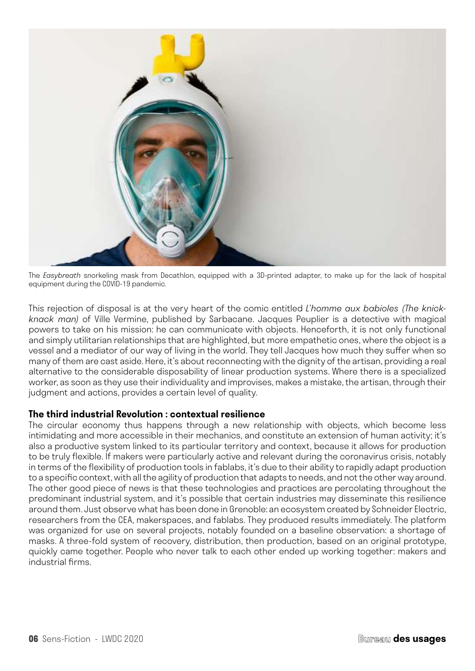

The *Easybreath* snorkeling mask from Decathlon, equipped with a 3D-printed adapter, to make up for the lack of hospital equipment during the COVID-19 pandemic.

This rejection of disposal is at the very heart of the comic entitled *L'homme aux babioles (The knickknack man)* of Ville Vermine, published by Sarbacane. Jacques Peuplier is a detective with magical powers to take on his mission: he can communicate with objects. Henceforth, it is not only functional and simply utilitarian relationships that are highlighted, but more empathetic ones, where the object is a vessel and a mediator of our way of living in the world. They tell Jacques how much they suffer when so many of them are cast aside. Here, it's about reconnecting with the dignity of the artisan, providing a real alternative to the considerable disposability of linear production systems. Where there is a specialized worker, as soon as they use their individuality and improvises, makes a mistake, the artisan, through their judgment and actions, provides a certain level of quality.

#### **The third industrial Revolution : contextual resilience**

The circular economy thus happens through a new relationship with objects, which become less intimidating and more accessible in their mechanics, and constitute an extension of human activity; it's also a productive system linked to its particular territory and context, because it allows for production to be truly flexible. If makers were particularly active and relevant during the coronavirus crisis, notably in terms of the flexibility of production tools in fablabs, it's due to their ability to rapidly adapt production to a specific context, with all the agility of production that adapts to needs, and not the other way around. The other good piece of news is that these technologies and practices are percolating throughout the predominant industrial system, and it's possible that certain industries may disseminate this resilience around them. Just observe what has been done in Grenoble: an ecosystem created by Schneider Electric, researchers from the CEA, makerspaces, and fablabs. They produced results immediately. The platform was organized for use on several projects, notably founded on a baseline observation: a shortage of masks. A three-fold system of recovery, distribution, then production, based on an original prototype, quickly came together. People who never talk to each other ended up working together: makers and industrial firms.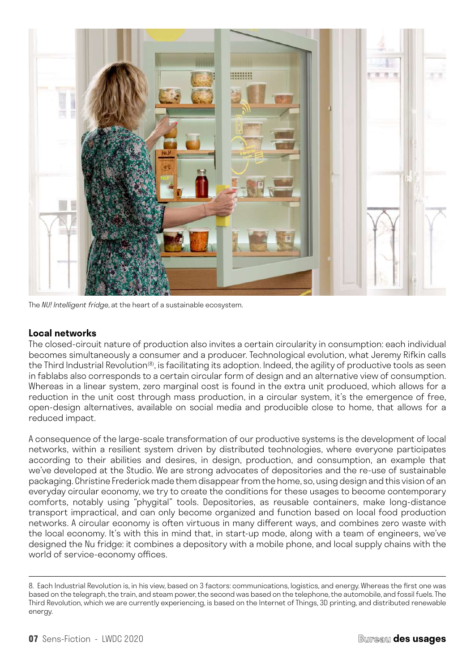

The *NU! Intelligent fridge*, at the heart of a sustainable ecosystem.

#### **Local networks**

The closed-circuit nature of production also invites a certain circularity in consumption: each individual becomes simultaneously a consumer and a producer. Technological evolution, what Jeremy Rifkin calls the Third Industrial Revolution<sup>(8)</sup>, is facilitating its adoption. Indeed, the agility of productive tools as seen in fablabs also corresponds to a certain circular form of design and an alternative view of consumption. Whereas in a linear system, zero marginal cost is found in the extra unit produced, which allows for a reduction in the unit cost through mass production, in a circular system, it's the emergence of free, open-design alternatives, available on social media and producible close to home, that allows for a reduced impact.

A consequence of the large-scale transformation of our productive systems is the development of local networks, within a resilient system driven by distributed technologies, where everyone participates according to their abilities and desires, in design, production, and consumption, an example that we've developed at the Studio. We are strong advocates of depositories and the re-use of sustainable packaging. Christine Frederick made them disappear from the home, so, using design and this vision of an everyday circular economy, we try to create the conditions for these usages to become contemporary comforts, notably using "phygital" tools. Depositories, as reusable containers, make long-distance transport impractical, and can only become organized and function based on local food production networks. A circular economy is often virtuous in many different ways, and combines zero waste with the local economy. It's with this in mind that, in start-up mode, along with a team of engineers, we've designed the Nu fridge: it combines a depository with a mobile phone, and local supply chains with the world of service-economy offices.

<sup>8.</sup> Each Industrial Revolution is, in his view, based on 3 factors: communications, logistics, and energy. Whereas the first one was based on the telegraph, the train, and steam power, the second was based on the telephone, the automobile, and fossil fuels. The Third Revolution, which we are currently experiencing, is based on the Internet of Things, 3D printing, and distributed renewable energy.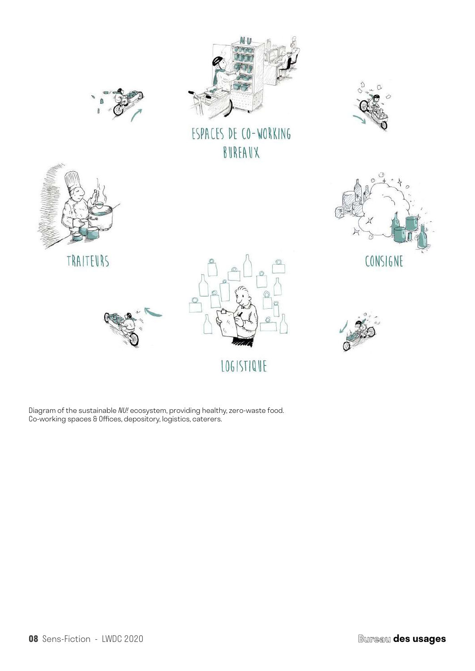

TRAITEURS





ESPACES DE CO-WORKING BUREAUX



CONSIGNE





LOGISTIQUE



Diagram of the sustainable *NU!* ecosystem, providing healthy, zero-waste food. Co-working spaces & Offices, depository, logistics, caterers.